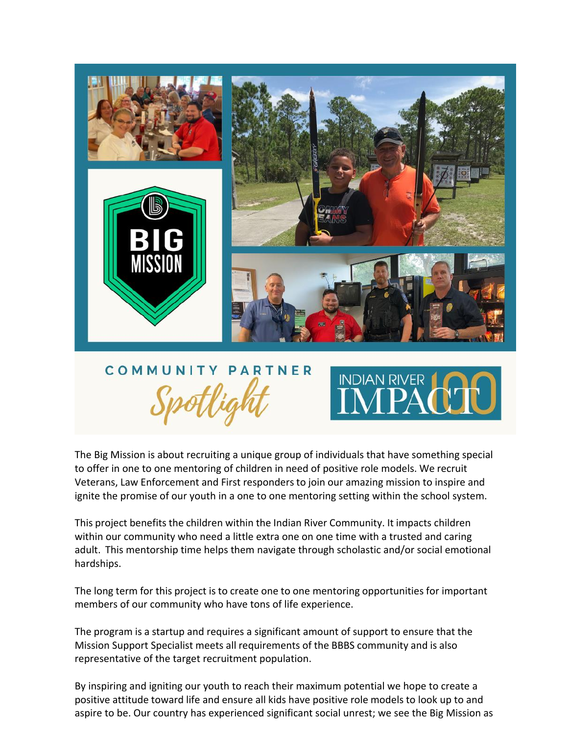

The Big Mission is about recruiting a unique group of individuals that have something special to offer in one to one mentoring of children in need of positive role models. We recruit Veterans, Law Enforcement and First responders to join our amazing mission to inspire and ignite the promise of our youth in a one to one mentoring setting within the school system.

This project benefits the children within the Indian River Community. It impacts children within our community who need a little extra one on one time with a trusted and caring adult. This mentorship time helps them navigate through scholastic and/or social emotional hardships.

The long term for this project is to create one to one mentoring opportunities for important members of our community who have tons of life experience.

The program is a startup and requires a significant amount of support to ensure that the Mission Support Specialist meets all requirements of the BBBS community and is also representative of the target recruitment population.

By inspiring and igniting our youth to reach their maximum potential we hope to create a positive attitude toward life and ensure all kids have positive role models to look up to and aspire to be. Our country has experienced significant social unrest; we see the Big Mission as